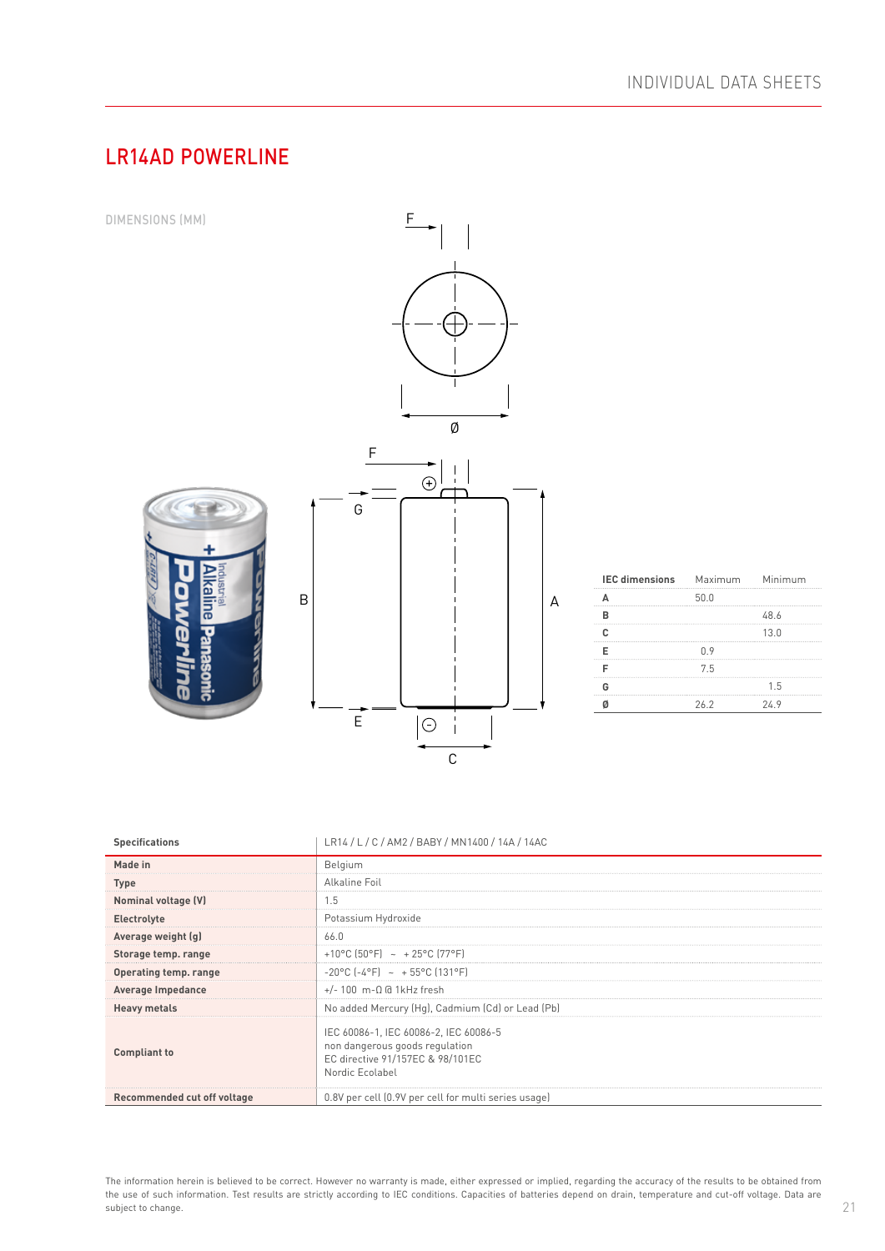# LR14AD POWERLINE



| Storage temp. range         | +10°C (50°F) ~ +25°C (77°F)                                                                                                    |
|-----------------------------|--------------------------------------------------------------------------------------------------------------------------------|
| Operating temp. range       | $-20^{\circ}$ C $[-4^{\circ}$ F $] \sim +55^{\circ}$ C (131°F)                                                                 |
| Average Impedance           | $+/- 100$ m- $\Omega$ @ 1kHz fresh                                                                                             |
| <b>Heavy metals</b>         | No added Mercury (Hg), Cadmium (Cd) or Lead (Pb)                                                                               |
| Compliant to                | IEC 60086-1, IEC 60086-2, IEC 60086-5<br>non dangerous goods regulation<br>EC directive 91/157EC & 98/101EC<br>Nordic Ecolabel |
| Recommended cut off voltage | 0.8V per cell (0.9V per cell for multi series usage)                                                                           |

The information herein is believed to be correct. However no warranty is made, either expressed or implied, regarding the accuracy of the results to be obtained from the use of such information. Test results are strictly according to IEC conditions. Capacities of batteries depend on drain, temperature and cut-off voltage. Data are subject to change.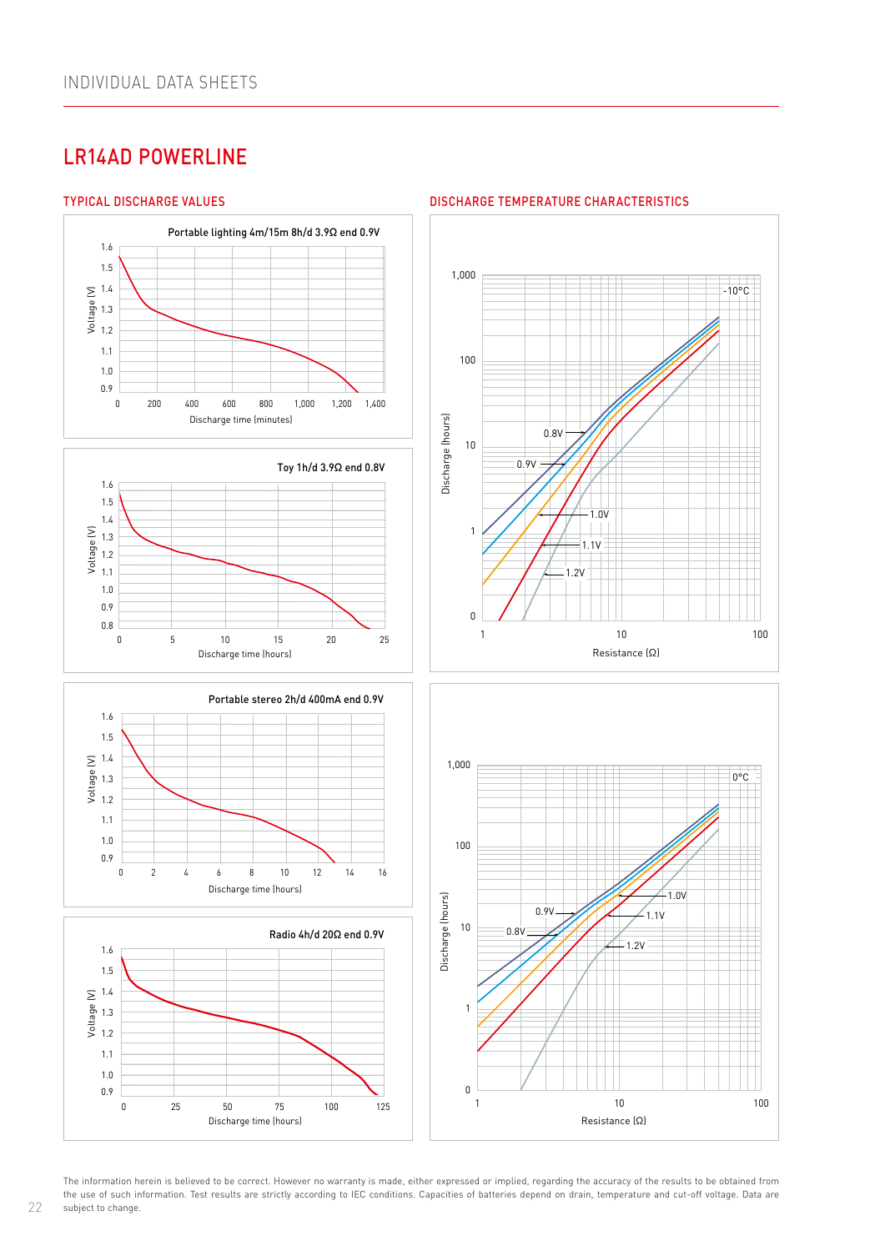# LR14AD POWERLINE

 $\frac{1}{\sqrt{2}}$ 

1,000

Voltage (V)

Voltage (V)

/oltage (V)

Voltage (V)

Voltage (V)

0.9 0.9 0.8 0.8

1.0 1.0 1.1 1.1 1.2 1.2 1.3 1.3 1.4 1.4 1.5 1.5 1.6 1.6

 $\frac{1}{0.9}$ 

 $\overline{0}$ 

1.0 1.1 1.1 1.2 1.3 1.4 1.5 1.6 1.6

1.2

1.5



## TYPICAL DISCHARGE VALUES DISCHARGE TEMPERATURE CHARACTERISTICS Resistance (Ω)



1 10 100 Discharge time (hours) Discharge time (hours)

0 5 10 15 20 25

0 5 10 15 20 25

1.0V

Discharge time (minutes)

end the contract of the contract of the contract of the contract of the Discharge time (minutes)

0.8V

0 200 400 600 800 1,000 1,200 1,400

Portable lighting 4m/15m 8h/d 3.9Ω end 0.9V Portable lighting 4m/15m 8h/d 3.9Ω end 0.9V

Toy 1h/d 3.9Ω end 0.8V Toy 1h/d 3.9Ω end 0.8V

0.9V

1.1V

 $\pm$ 





The information herein is believed to be correct. However no warranty is made, either expressed or implied, regarding the accuracy of the results to be obtained from the use of such information. Test results are strictly according to IEC conditions. Capacities of batteries depend on drain, temperature and cut-off voltage. Data are subject to change.